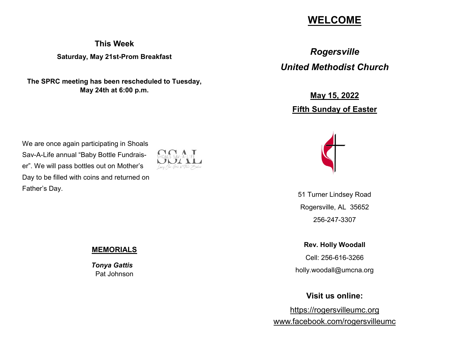# **WELCOME**

**This Week Saturday, May 21st-Prom Breakfast**

**The SPRC meeting has been rescheduled to Tuesday, May 24th at 6:00 p.m.**

We are once again participating in Shoals Sav-A-Life annual "Baby Bottle Fundraiser". We will pass bottles out on Mother's Day to be filled with coins and returned on Father's Day.



**MEMORIALS**

 *Tonya Gattis* Pat Johnson

*Rogersville United Methodist Church*

> **May 15, 2022 Fifth Sunday of Easter**



51 Turner Lindsey Road Rogersville, AL 35652 256-247-3307

**Rev. Holly Woodall** Cell: 256-616-3266 holly.woodall@umcna.org

**Visit us online:**

https://rogersvilleumc.org www.facebook.com/rogersvilleumc